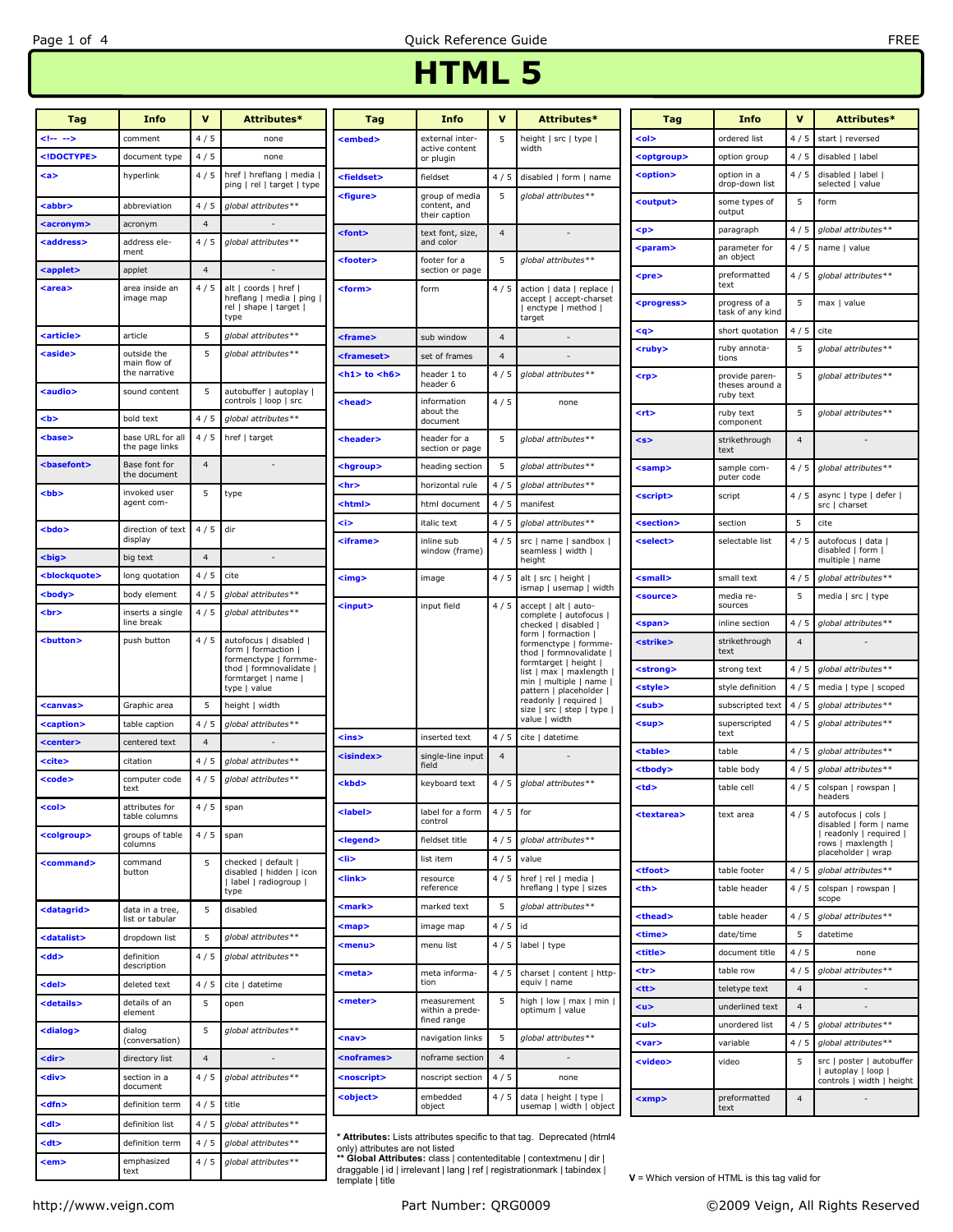## HTML 5

| Tag                 | Info                               | $\mathbf v$    | Attributes*                                                                          | Tag                   | <b>Info</b>                                     | $\mathbf v$    | Attributes*                                                                                  | Tag                   | <b>Info</b>                       | $\mathbf v$    | Attributes*                            |
|---------------------|------------------------------------|----------------|--------------------------------------------------------------------------------------|-----------------------|-------------------------------------------------|----------------|----------------------------------------------------------------------------------------------|-----------------------|-----------------------------------|----------------|----------------------------------------|
|                     | comment                            | 4/5            | none                                                                                 | <embed/>              | external inter-                                 | 5              | height   src   type                                                                          | <ol></ol>             | ordered list                      | 4/5            | start   reversed                       |
|                     | document type                      | 4/5            | none                                                                                 |                       | active content<br>or plugin                     |                | width                                                                                        | <optgroup></optgroup> | option group                      | 4/5            | disabled   label                       |
| <a></a>             | hyperlink                          | 4/5            | href   hreflang   media  <br>ping   rel   target   type                              | <fieldset></fieldset> | fieldset                                        | 4/5            | disabled   form   name                                                                       | <option></option>     | option in a<br>drop-down list     | 4/5            | disabled   label  <br>selected   value |
| <abbr></abbr>       | abbreviation                       | 4/5            | global attributes**                                                                  | <figure></figure>     | group of media<br>content, and<br>their caption | 5              | qlobal attributes**                                                                          | <output></output>     | some types of<br>output           | 5              | form                                   |
| <acronym></acronym> | acronym                            | $\overline{4}$ |                                                                                      | <font></font>         | text font, size,                                | $\overline{4}$ |                                                                                              | $p$                   | paragraph                         | 4/5            | global attributes**                    |
| <address></address> | address ele-<br>ment               | 4/5            | global attributes**                                                                  | <footer></footer>     | and color<br>footer for a                       | 5              | global attributes**                                                                          | <param/>              | parameter for<br>an object        | 4/5            | name   value                           |
| <applet></applet>   | applet                             | $\overline{4}$ |                                                                                      |                       | section or page                                 |                |                                                                                              | <pre></pre>           | preformatted<br>text              | 4/5            | alobal attributes**                    |
| <area/>             | area inside an<br>image map        | 4/5            | alt   coords   href  <br>hreflang   media   ping  <br>rel   shape   target  <br>type | <form></form>         | form                                            |                | 4 / 5 action   data   replace  <br>accept   accept-charset<br>  enctype   method  <br>target | <progress></progress> | progress of a<br>task of any kind | 5              | max I value                            |
| <article></article> | article                            | 5              | global attributes**                                                                  | <frame/>              | sub window                                      | $\overline{4}$ |                                                                                              | $<$ q>                | short quotation                   | 4/5            | cite                                   |
| <aside></aside>     | outside the                        | 5              | global attributes**                                                                  | <frameset></frameset> | set of frames                                   | $\overline{4}$ |                                                                                              | <ruby></ruby>         | ruby annota-<br>tions             | 5              | global attributes**                    |
|                     | main flow of<br>the narrative      |                |                                                                                      | $th1 > to ch6$        | header 1 to<br>header 6                         | 4/5            | global attributes**                                                                          | <rp></rp>             | provide paren-                    | 5              | global attributes**                    |
| <audio></audio>     | sound content                      | 5              | autobuffer   autoplay  <br>controls   loop   src                                     | <head></head>         | information                                     | 4/5            | none                                                                                         |                       | theses around a<br>ruby text      |                |                                        |
| <b></b>             | bold text                          | 4/5            | global attributes**                                                                  |                       | about the<br>document                           |                |                                                                                              | <rt></rt>             | ruby text<br>component            | 5              | global attributes**                    |
| <base/>             | base URL for all<br>the page links | 4/5            | href   target                                                                        | <header></header>     | header for a<br>section or page                 | 5              | global attributes**                                                                          | <s></s>               | strikethrough<br>text             | $\overline{4}$ |                                        |
| <basefont/>         | Base font for<br>the document      | $\overline{4}$ |                                                                                      | <hgroup></hgroup>     | heading section                                 | 5              | global attributes**                                                                          | <samp></samp>         | sample com-<br>puter code         | 4/5            | global attributes**                    |
| <bb></bb>           | invoked user                       | 5              | type                                                                                 | <hr/>                 | horizontal rule                                 | 4/5            | global attributes**                                                                          | <script></script>     |                                   |                |                                        |

http://www.veign.com examples and the Part Number: QRG0009 Cases of C2009 Veign, All Rights Reserved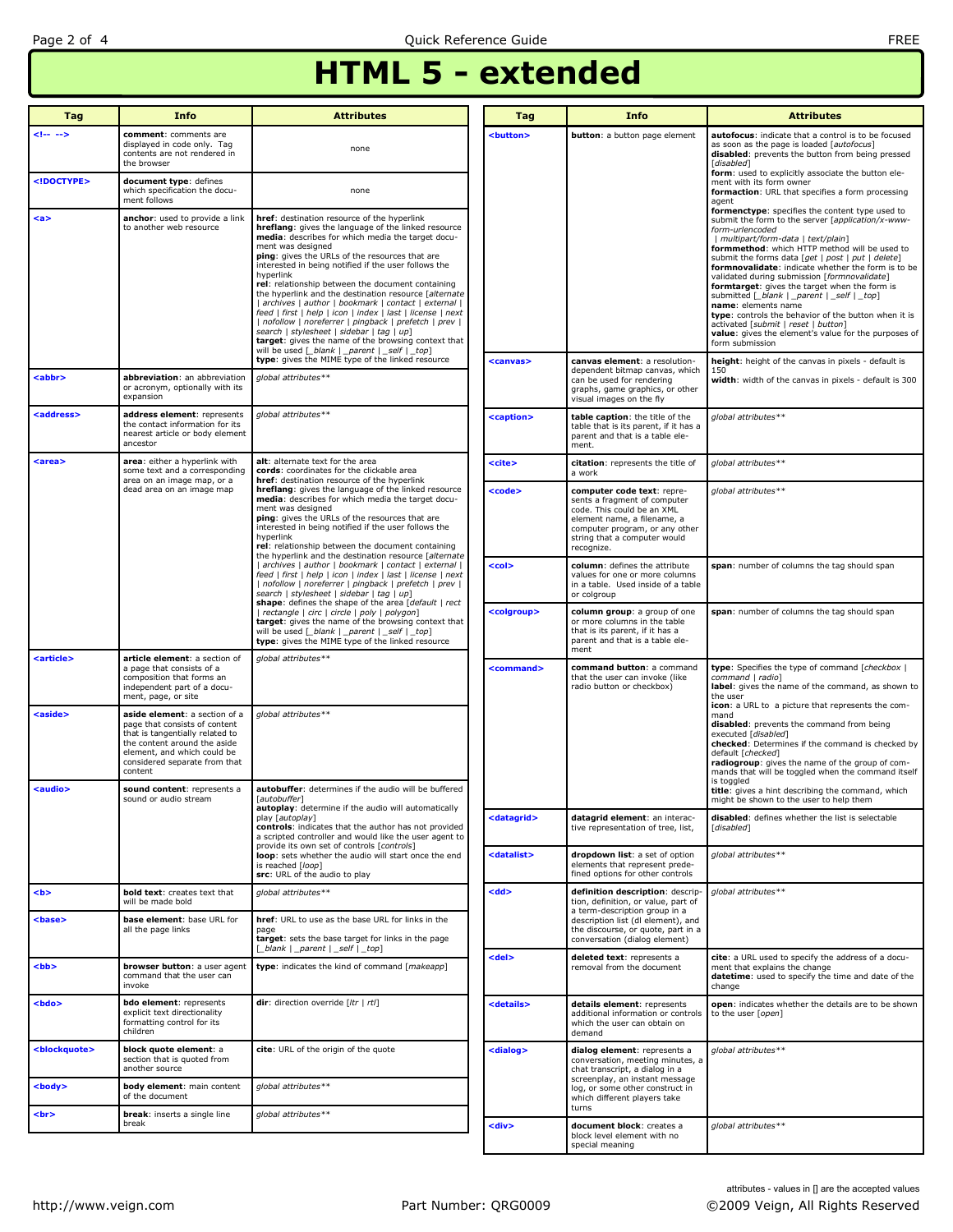## HTML 5 - extended

| Tag                       | <b>Info</b>                                                                                                                                                                                                  | <b>Attributes</b>                                                                                                                                                                                                                                                                                                                                                                                                                                                                                                                                 | Tag                   | <b>Info</b>                                                                                                                                                                                             | <b>Attributes</b>                                                                                                                                                                                                                                                                                                                                                                                                                                              |
|---------------------------|--------------------------------------------------------------------------------------------------------------------------------------------------------------------------------------------------------------|---------------------------------------------------------------------------------------------------------------------------------------------------------------------------------------------------------------------------------------------------------------------------------------------------------------------------------------------------------------------------------------------------------------------------------------------------------------------------------------------------------------------------------------------------|-----------------------|---------------------------------------------------------------------------------------------------------------------------------------------------------------------------------------------------------|----------------------------------------------------------------------------------------------------------------------------------------------------------------------------------------------------------------------------------------------------------------------------------------------------------------------------------------------------------------------------------------------------------------------------------------------------------------|
|                           | comment: comments are<br>displayed in code only. Tag<br>contents are not rendered in<br>the browser                                                                                                          | none                                                                                                                                                                                                                                                                                                                                                                                                                                                                                                                                              | <button></button>     | <b>button</b> : a button page element                                                                                                                                                                   | autofocus: indicate that a control is to be focused<br>as soon as the page is loaded [autofocus]<br>disabled: prevents the button from being pressed<br>[disabled]                                                                                                                                                                                                                                                                                             |
|                           | document type: defines<br>which specification the docu-<br>ment follows                                                                                                                                      | none                                                                                                                                                                                                                                                                                                                                                                                                                                                                                                                                              |                       |                                                                                                                                                                                                         | form: used to explicitly associate the button ele-<br>ment with its form owner<br>formaction: URL that specifies a form processing<br>agent                                                                                                                                                                                                                                                                                                                    |
| $a$                       | anchor: used to provide a link<br>to another web resource                                                                                                                                                    | href: destination resource of the hyperlink<br>hreflang: gives the language of the linked resource<br>media: describes for which media the target docu-<br>ment was designed<br>ping: gives the URLs of the resources that are                                                                                                                                                                                                                                                                                                                    |                       |                                                                                                                                                                                                         | formenctype: specifies the content type used to<br>submit the form to the server [application/x-www-<br>form-urlencoded<br>  multipart/form-data   text/plain]<br>formmethod: which HTTP method will be used to<br>submit the forms data [get   post   put   delete]                                                                                                                                                                                           |
|                           |                                                                                                                                                                                                              | interested in being notified if the user follows the<br>hyperlink<br>rel: relationship between the document containing<br>the hyperlink and the destination resource [alternate<br>  archives   author   bookmark   contact   external  <br>feed   first   help   icon   index   last   license   next<br>  nofollow   noreferrer   pingback   prefetch   prev  <br>search   stylesheet   sidebar   tag   up]<br>target: gives the name of the browsing context that<br>will be used $\lceil$ blank $\rceil$ parent $\rceil$ _self $\rceil$ _top] |                       |                                                                                                                                                                                                         | formnovalidate: indicate whether the form is to be<br>validated during submission [formnovalidate]<br>formtarget: gives the target when the form is<br>submitted [_blank   _parent   _self   _top]<br>name: elements name<br>type: controls the behavior of the button when it is<br>activated [submit   reset   button]<br>value: gives the element's value for the purposes of<br>form submission                                                            |
| <abbr></abbr>             | abbreviation: an abbreviation<br>or acronym, optionally with its<br>expansion                                                                                                                                | type: gives the MIME type of the linked resource<br>global attributes**                                                                                                                                                                                                                                                                                                                                                                                                                                                                           | <canvas></canvas>     | canvas element: a resolution-<br>dependent bitmap canvas, which<br>can be used for rendering<br>graphs, game graphics, or other<br>visual images on the fly                                             | height: height of the canvas in pixels - default is<br>150<br>width: width of the canvas in pixels - default is 300                                                                                                                                                                                                                                                                                                                                            |
| <address></address>       | address element: represents<br>the contact information for its<br>nearest article or body element<br>ancestor                                                                                                | global attributes**                                                                                                                                                                                                                                                                                                                                                                                                                                                                                                                               | <caption></caption>   | table caption: the title of the<br>table that is its parent, if it has a<br>parent and that is a table ele-<br>ment.                                                                                    | global attributes**                                                                                                                                                                                                                                                                                                                                                                                                                                            |
| <area/>                   | area: either a hyperlink with<br>some text and a corresponding<br>area on an image map, or a                                                                                                                 | alt: alternate text for the area<br>cords: coordinates for the clickable area<br>href: destination resource of the hyperlink                                                                                                                                                                                                                                                                                                                                                                                                                      | <cite></cite>         | citation: represents the title of<br>global attributes**<br>a work                                                                                                                                      |                                                                                                                                                                                                                                                                                                                                                                                                                                                                |
|                           | dead area on an image map                                                                                                                                                                                    | hreflang: gives the language of the linked resource<br>media: describes for which media the target docu-<br>ment was designed<br>ping: gives the URLs of the resources that are<br>interested in being notified if the user follows the<br>hyperlink<br>rel: relationship between the document containing                                                                                                                                                                                                                                         | <code></code>         | computer code text: repre-<br>sents a fragment of computer<br>code. This could be an XML<br>element name, a filename, a<br>computer program, or any other<br>string that a computer would<br>recognize. | global attributes**                                                                                                                                                                                                                                                                                                                                                                                                                                            |
|                           |                                                                                                                                                                                                              | the hyperlink and the destination resource [alternate<br>  archives   author   bookmark   contact   external  <br>feed   first   help   icon   index   last   license   next<br>  nofollow   noreferrer   pingback   prefetch   prev  <br>search   stylesheet   sidebar   tag   up]                                                                                                                                                                                                                                                               | <col/>                | column: defines the attribute<br>values for one or more columns<br>in a table. Used inside of a table<br>or colgroup                                                                                    | span: number of columns the tag should span                                                                                                                                                                                                                                                                                                                                                                                                                    |
|                           |                                                                                                                                                                                                              | shape: defines the shape of the area [default   rect<br>  rectangle   circ   circle   poly   polygon]<br>target: gives the name of the browsing context that<br>will be used [_blank   _parent   _self   _top]<br>type: gives the MIME type of the linked resource                                                                                                                                                                                                                                                                                | <colgroup></colgroup> | column group: a group of one<br>or more columns in the table<br>that is its parent, if it has a<br>parent and that is a table ele-<br>ment                                                              | span: number of columns the tag should span                                                                                                                                                                                                                                                                                                                                                                                                                    |
| <article></article>       | article element: a section of<br>a page that consists of a<br>composition that forms an<br>independent part of a docu-<br>ment, page, or site                                                                | global attributes**                                                                                                                                                                                                                                                                                                                                                                                                                                                                                                                               | <command/>            | command button: a command<br>that the user can invoke (like<br>radio button or checkbox)                                                                                                                | <b>type:</b> Specifies the type of command [checkbox ]<br>command   radio]<br>label: gives the name of the command, as shown to<br>the user<br>icon: a URL to a picture that represents the com-<br>mand<br>disabled: prevents the command from being<br>executed [disabled]<br>checked: Determines if the command is checked by<br>default [checked]<br>radiogroup: gives the name of the group of com-<br>mands that will be toggled when the command itself |
| <aside></aside>           | aside element: a section of a<br>page that consists of content<br>that is tangentially related to<br>the content around the aside<br>element, and which could be<br>considered separate from that<br>content | global attributes**                                                                                                                                                                                                                                                                                                                                                                                                                                                                                                                               |                       |                                                                                                                                                                                                         |                                                                                                                                                                                                                                                                                                                                                                                                                                                                |
| <audio></audio>           | sound content: represents a<br>sound or audio stream                                                                                                                                                         | autobuffer: determines if the audio will be buffered<br>[autobuffer]<br>autoplay: determine if the audio will automatically                                                                                                                                                                                                                                                                                                                                                                                                                       |                       |                                                                                                                                                                                                         | is toggled<br>title: gives a hint describing the command, which<br>might be shown to the user to help them                                                                                                                                                                                                                                                                                                                                                     |
|                           |                                                                                                                                                                                                              | play [autoplay]<br>controls: indicates that the author has not provided<br>a scripted controller and would like the user agent to<br>provide its own set of controls [controls]                                                                                                                                                                                                                                                                                                                                                                   | <datagrid></datagrid> | datagrid element: an interac-<br>tive representation of tree, list,                                                                                                                                     | disabled: defines whether the list is selectable<br>[disabled]                                                                                                                                                                                                                                                                                                                                                                                                 |
|                           |                                                                                                                                                                                                              | loop: sets whether the audio will start once the end<br>is reached [loop]<br>src: URL of the audio to play                                                                                                                                                                                                                                                                                                                                                                                                                                        | <datalist></datalist> | dropdown list: a set of option<br>elements that represent prede-<br>fined options for other controls                                                                                                    | global attributes**                                                                                                                                                                                                                                                                                                                                                                                                                                            |
| <br><b>b</b>              | <b>bold text:</b> creates text that<br>will be made bold                                                                                                                                                     | global attributes**                                                                                                                                                                                                                                                                                                                                                                                                                                                                                                                               | <dd></dd>             | definition description: descrip-<br>tion, definition, or value, part of                                                                                                                                 | global attributes**                                                                                                                                                                                                                                                                                                                                                                                                                                            |
| <base/>                   | base element: base URL for<br>all the page links                                                                                                                                                             | href: URL to use as the base URL for links in the<br>page<br>target: sets the base target for links in the page<br>[_blank   _parent   _self   _top]                                                                                                                                                                                                                                                                                                                                                                                              |                       | a term-description group in a<br>description list (dl element), and<br>the discourse, or quote, part in a<br>conversation (dialog element)                                                              |                                                                                                                                                                                                                                                                                                                                                                                                                                                                |
| <bb></bb>                 | browser button: a user agent<br>command that the user can<br>invoke                                                                                                                                          | type: indicates the kind of command [makeapp]                                                                                                                                                                                                                                                                                                                                                                                                                                                                                                     | <del></del>           | deleted text: represents a<br>removal from the document                                                                                                                                                 | cite: a URL used to specify the address of a docu-<br>ment that explains the change<br>datetime: used to specify the time and date of the<br>change                                                                                                                                                                                                                                                                                                            |
| <bdo></bdo>               | bdo element: represents<br>explicit text directionality<br>formatting control for its<br>children                                                                                                            | dir: direction override [/tr   rt/]                                                                                                                                                                                                                                                                                                                                                                                                                                                                                                               | <details></details>   | details element: represents<br>additional information or controls<br>which the user can obtain on<br>demand                                                                                             | open: indicates whether the details are to be shown<br>to the user [open]                                                                                                                                                                                                                                                                                                                                                                                      |
| <blockquote></blockquote> | block quote element: a<br>section that is quoted from<br>another source                                                                                                                                      | cite: URL of the origin of the quote                                                                                                                                                                                                                                                                                                                                                                                                                                                                                                              | <dialog></dialog>     | dialog element: represents a<br>conversation, meeting minutes, a<br>chat transcript, a dialog in a                                                                                                      | global attributes**                                                                                                                                                                                                                                                                                                                                                                                                                                            |
| $<$ body $>$              | body element: main content<br>of the document                                                                                                                                                                | global attributes**                                                                                                                                                                                                                                                                                                                                                                                                                                                                                                                               |                       | screenplay, an instant message<br>log, or some other construct in<br>which different players take                                                                                                       |                                                                                                                                                                                                                                                                                                                                                                                                                                                                |
| <br>                      | break: inserts a single line<br>break                                                                                                                                                                        | global attributes**                                                                                                                                                                                                                                                                                                                                                                                                                                                                                                                               | <div></div>           | turns<br>document block: creates a                                                                                                                                                                      | global attributes**                                                                                                                                                                                                                                                                                                                                                                                                                                            |
|                           |                                                                                                                                                                                                              |                                                                                                                                                                                                                                                                                                                                                                                                                                                                                                                                                   |                       | block level element with no<br>special meaning                                                                                                                                                          |                                                                                                                                                                                                                                                                                                                                                                                                                                                                |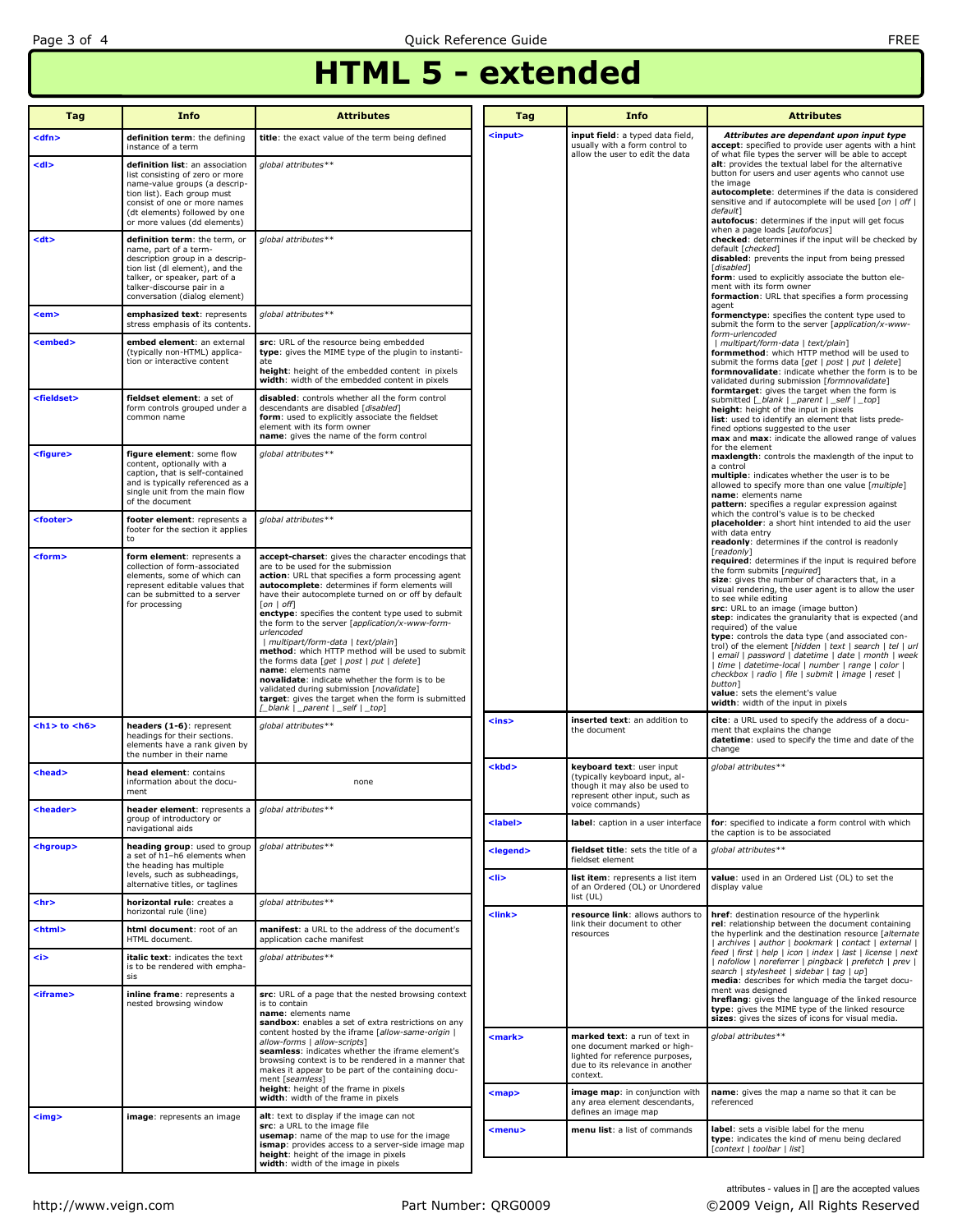## HTML 5 - extended

| Tag                   | <b>Info</b>                                                                                                                                                                                                                         | <b>Attributes</b>                                                                                                                                                                                                                                                                                                                                                                                                                                                                                                                                                                                                                                                                                                                                          | Tag               | <b>Info</b>                                                                                                                                     | <b>Attributes</b>                                                                                                                                                                                                                                                                                                                                                                                                                                                                                                                                                                                                                                                                                                                        |  |
|-----------------------|-------------------------------------------------------------------------------------------------------------------------------------------------------------------------------------------------------------------------------------|------------------------------------------------------------------------------------------------------------------------------------------------------------------------------------------------------------------------------------------------------------------------------------------------------------------------------------------------------------------------------------------------------------------------------------------------------------------------------------------------------------------------------------------------------------------------------------------------------------------------------------------------------------------------------------------------------------------------------------------------------------|-------------------|-------------------------------------------------------------------------------------------------------------------------------------------------|------------------------------------------------------------------------------------------------------------------------------------------------------------------------------------------------------------------------------------------------------------------------------------------------------------------------------------------------------------------------------------------------------------------------------------------------------------------------------------------------------------------------------------------------------------------------------------------------------------------------------------------------------------------------------------------------------------------------------------------|--|
| <dfn></dfn>           | definition term: the defining<br>instance of a term                                                                                                                                                                                 | title: the exact value of the term being defined                                                                                                                                                                                                                                                                                                                                                                                                                                                                                                                                                                                                                                                                                                           | $input$           | input field: a typed data field,<br>usually with a form control to                                                                              | Attributes are dependant upon input type<br>accept: specified to provide user agents with a hint                                                                                                                                                                                                                                                                                                                                                                                                                                                                                                                                                                                                                                         |  |
| <dl></dl>             | definition list: an association<br>list consisting of zero or more<br>name-value groups (a descrip-<br>tion list). Each group must<br>consist of one or more names<br>(dt elements) followed by one<br>or more values (dd elements) | global attributes**                                                                                                                                                                                                                                                                                                                                                                                                                                                                                                                                                                                                                                                                                                                                        |                   | allow the user to edit the data                                                                                                                 | of what file types the server will be able to accept<br>alt: provides the textual label for the alternative<br>button for users and user agents who cannot use<br>the image<br>autocomplete: determines if the data is considered<br>sensitive and if autocomplete will be used [on   off  <br>default]<br>autofocus: determines if the input will get focus                                                                                                                                                                                                                                                                                                                                                                             |  |
| <dt></dt>             | definition term: the term, or<br>name, part of a term-<br>description group in a descrip-<br>tion list (dl element), and the<br>talker, or speaker, part of a<br>talker-discourse pair in a<br>conversation (dialog element)        | global attributes**                                                                                                                                                                                                                                                                                                                                                                                                                                                                                                                                                                                                                                                                                                                                        |                   |                                                                                                                                                 | when a page loads [autofocus]<br>checked: determines if the input will be checked by<br>default [checked]<br>disabled: prevents the input from being pressed<br>[disabled]<br>form: used to explicitly associate the button ele-<br>ment with its form owner<br>formaction: URL that specifies a form processing                                                                                                                                                                                                                                                                                                                                                                                                                         |  |
| <em></em>             | emphasized text: represents<br>stress emphasis of its contents.                                                                                                                                                                     | global attributes**                                                                                                                                                                                                                                                                                                                                                                                                                                                                                                                                                                                                                                                                                                                                        |                   |                                                                                                                                                 | agent<br>formenctype: specifies the content type used to<br>submit the form to the server [application/x-www-                                                                                                                                                                                                                                                                                                                                                                                                                                                                                                                                                                                                                            |  |
| <embed/>              | embed element: an external<br>(typically non-HTML) applica-<br>tion or interactive content                                                                                                                                          | src: URL of the resource being embedded<br>type: gives the MIME type of the plugin to instanti-<br>height: height of the embedded content in pixels<br>width: width of the embedded content in pixels                                                                                                                                                                                                                                                                                                                                                                                                                                                                                                                                                      |                   |                                                                                                                                                 | form-urlencoded<br>  multipart/form-data   text/plain]<br>formmethod: which HTTP method will be used to<br>submit the forms data [get   post   put   delete]<br>formnovalidate: indicate whether the form is to be<br>validated during submission [formnovalidate]                                                                                                                                                                                                                                                                                                                                                                                                                                                                       |  |
| <fieldset></fieldset> | fieldset element: a set of<br>form controls grouped under a<br>common name                                                                                                                                                          | disabled: controls whether all the form control<br>descendants are disabled [disabled]<br>form: used to explicitly associate the fieldset<br>element with its form owner<br>name: gives the name of the form control                                                                                                                                                                                                                                                                                                                                                                                                                                                                                                                                       |                   |                                                                                                                                                 | formtarget: gives the target when the form is<br>submitted [_blank   _parent   _self   _top]<br>height: height of the input in pixels<br>list: used to identify an element that lists prede-<br>fined options suggested to the user<br>max and max: indicate the allowed range of values                                                                                                                                                                                                                                                                                                                                                                                                                                                 |  |
| <figure></figure>     | figure element: some flow<br>content, optionally with a<br>caption, that is self-contained<br>and is typically referenced as a<br>single unit from the main flow<br>of the document                                                 | global attributes**                                                                                                                                                                                                                                                                                                                                                                                                                                                                                                                                                                                                                                                                                                                                        |                   |                                                                                                                                                 | for the element<br>maxlength: controls the maxlength of the input to<br>a control<br>multiple: indicates whether the user is to be<br>allowed to specify more than one value [multiple]<br>name: elements name<br>pattern: specifies a regular expression against                                                                                                                                                                                                                                                                                                                                                                                                                                                                        |  |
| <footer></footer>     | footer element: represents a<br>footer for the section it applies<br>to                                                                                                                                                             | global attributes**                                                                                                                                                                                                                                                                                                                                                                                                                                                                                                                                                                                                                                                                                                                                        |                   |                                                                                                                                                 | which the control's value is to be checked<br>placeholder: a short hint intended to aid the user<br>with data entry<br>readonly: determines if the control is readonly                                                                                                                                                                                                                                                                                                                                                                                                                                                                                                                                                                   |  |
| <form></form>         | form element: represents a<br>collection of form-associated<br>elements, some of which can<br>represent editable values that<br>can be submitted to a server<br>for processing                                                      | accept-charset: gives the character encodings that<br>are to be used for the submission<br>action: URL that specifies a form processing agent<br>autocomplete: determines if form elements will<br>have their autocomplete turned on or off by default<br>$[on \mid off]$<br>enctype: specifies the content type used to submit<br>the form to the server [application/x-www-form-<br>urlencoded<br>  multipart/form-data   text/plain]<br>method: which HTTP method will be used to submit<br>the forms data [get   post   put   delete]<br>name: elements name<br>novalidate: indicate whether the form is to be<br>validated during submission [novalidate]<br>target: gives the target when the form is submitted<br>[_blank   _parent   _self   _top] |                   |                                                                                                                                                 | [readonly]<br>required: determines if the input is required before<br>the form submits [required]<br>size: gives the number of characters that, in a<br>visual rendering, the user agent is to allow the user<br>to see while editing<br>src: URL to an image (image button)<br>step: indicates the granularity that is expected (and<br>required) of the value<br>type: controls the data type (and associated con-<br>trol) of the element [hidden   text   search   tel   url<br>  email   password   datetime   date   month   week<br>  time   datetime-local   number   range   color  <br>checkbox   radio   file   submit   image   reset  <br>button]<br>value: sets the element's value<br>width: width of the input in pixels |  |
| $<$ h1> to $<$ h6>    | headers (1-6): represent<br>headings for their sections.<br>elements have a rank given by<br>the number in their name                                                                                                               | global attributes**                                                                                                                                                                                                                                                                                                                                                                                                                                                                                                                                                                                                                                                                                                                                        | <ins></ins>       | inserted text: an addition to<br>the document                                                                                                   | cite: a URL used to specify the address of a docu-<br>ment that explains the change<br>datetime: used to specify the time and date of the<br>change                                                                                                                                                                                                                                                                                                                                                                                                                                                                                                                                                                                      |  |
| <head></head>         | head element: contains<br>information about the docu-<br>ment                                                                                                                                                                       | none                                                                                                                                                                                                                                                                                                                                                                                                                                                                                                                                                                                                                                                                                                                                                       | <kbd></kbd>       | keyboard text: user input<br>(typically keyboard input, al-<br>though it may also be used to<br>represent other input, such as                  | global attributes**                                                                                                                                                                                                                                                                                                                                                                                                                                                                                                                                                                                                                                                                                                                      |  |
| <header></header>     | header element: represents a global attributes**<br>group of introductory or<br>navigational aids                                                                                                                                   |                                                                                                                                                                                                                                                                                                                                                                                                                                                                                                                                                                                                                                                                                                                                                            | <label></label>   | voice commands)<br>label: caption in a user interface                                                                                           | for: specified to indicate a form control with which<br>the caption is to be associated                                                                                                                                                                                                                                                                                                                                                                                                                                                                                                                                                                                                                                                  |  |
| <hgroup></hgroup>     | heading group: used to group<br>a set of h1-h6 elements when                                                                                                                                                                        | global attributes**                                                                                                                                                                                                                                                                                                                                                                                                                                                                                                                                                                                                                                                                                                                                        | <legend></legend> | fieldset title: sets the title of a<br>fieldset element                                                                                         | global attributes**                                                                                                                                                                                                                                                                                                                                                                                                                                                                                                                                                                                                                                                                                                                      |  |
|                       | the heading has multiple<br>levels, such as subheadings,<br>alternative titles, or taglines                                                                                                                                         |                                                                                                                                                                                                                                                                                                                                                                                                                                                                                                                                                                                                                                                                                                                                                            | <li></li>         | list item: represents a list item<br>of an Ordered (OL) or Unordered                                                                            | value: used in an Ordered List (OL) to set the<br>display value                                                                                                                                                                                                                                                                                                                                                                                                                                                                                                                                                                                                                                                                          |  |
| <hr/>                 | horizontal rule: creates a<br>horizontal rule (line)                                                                                                                                                                                | global attributes**                                                                                                                                                                                                                                                                                                                                                                                                                                                                                                                                                                                                                                                                                                                                        | $link$            | list (UL)<br>resource link: allows authors to                                                                                                   | href: destination resource of the hyperlink                                                                                                                                                                                                                                                                                                                                                                                                                                                                                                                                                                                                                                                                                              |  |
| <html></html>         | html document: root of an<br>HTML document.                                                                                                                                                                                         | manifest: a URL to the address of the document's<br>application cache manifest                                                                                                                                                                                                                                                                                                                                                                                                                                                                                                                                                                                                                                                                             |                   | link their document to other<br>resources                                                                                                       | rel: relationship between the document containing<br>the hyperlink and the destination resource [alternate<br>  archives   author   bookmark   contact   external                                                                                                                                                                                                                                                                                                                                                                                                                                                                                                                                                                        |  |
| <i></i>               | italic text: indicates the text<br>is to be rendered with empha-<br>sis                                                                                                                                                             | global attributes**                                                                                                                                                                                                                                                                                                                                                                                                                                                                                                                                                                                                                                                                                                                                        |                   |                                                                                                                                                 | feed   first   help   icon   index   last   license   next<br>  nofollow   noreferrer   pingback   prefetch   prev  <br>search   stylesheet   sidebar   tag   up]<br>media: describes for which media the target docu-                                                                                                                                                                                                                                                                                                                                                                                                                                                                                                                   |  |
| <iframe></iframe>     | inline frame: represents a<br>nested browsing window                                                                                                                                                                                | src: URL of a page that the nested browsing context<br>is to contain<br>name: elements name<br>sandbox: enables a set of extra restrictions on any                                                                                                                                                                                                                                                                                                                                                                                                                                                                                                                                                                                                         |                   |                                                                                                                                                 | ment was designed<br>hreflang: gives the language of the linked resource<br>type: gives the MIME type of the linked resource<br>sizes: gives the sizes of icons for visual media.                                                                                                                                                                                                                                                                                                                                                                                                                                                                                                                                                        |  |
|                       |                                                                                                                                                                                                                                     | content hosted by the iframe [allow-same-origin  <br>allow-forms   allow-scripts]<br>seamless: indicates whether the iframe element's<br>browsing context is to be rendered in a manner that<br>makes it appear to be part of the containing docu-<br>ment [seamless]<br>height: height of the frame in pixels                                                                                                                                                                                                                                                                                                                                                                                                                                             | <mark></mark>     | marked text: a run of text in<br>one document marked or high-<br>lighted for reference purposes,<br>due to its relevance in another<br>context. | qlobal attributes**                                                                                                                                                                                                                                                                                                                                                                                                                                                                                                                                                                                                                                                                                                                      |  |
| $\leq$ img $>$        | image: represents an image                                                                                                                                                                                                          | width: width of the frame in pixels<br>alt: text to display if the image can not                                                                                                                                                                                                                                                                                                                                                                                                                                                                                                                                                                                                                                                                           | $map$             | image map: in conjunction with<br>any area element descendants,<br>defines an image map                                                         | name: gives the map a name so that it can be<br>referenced                                                                                                                                                                                                                                                                                                                                                                                                                                                                                                                                                                                                                                                                               |  |
|                       |                                                                                                                                                                                                                                     | src: a URL to the image file<br>usemap: name of the map to use for the image<br>ismap: provides access to a server-side image map<br>height: height of the image in pixels<br>width: width of the image in pixels                                                                                                                                                                                                                                                                                                                                                                                                                                                                                                                                          | $menu$            | menu list: a list of commands                                                                                                                   | label: sets a visible label for the menu<br>type: indicates the kind of menu being declared<br>[context   toolbar   list]                                                                                                                                                                                                                                                                                                                                                                                                                                                                                                                                                                                                                |  |